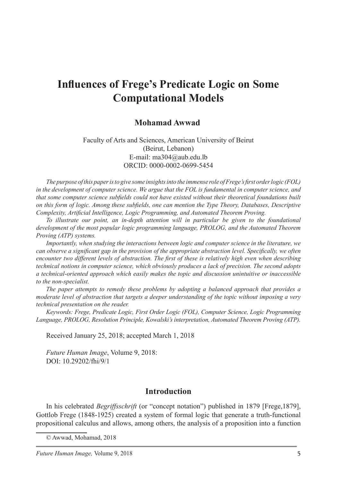# **Influences of Frege's Predicate Logic on Some Computational Models**

#### **Mohamad Awwad**<sup>1</sup>

#### Faculty of Arts and Sciences, American University of Beirut (Beirut, Lebanon) E-mail: ma304@aub.edu.lb ORCID: 0000-0002-0699-5454

*The purpose of this paper is to give some insights into the immense role of Frege's first order logic (FOL) in the development of computer science. We argue that the FOL is fundamental in computer science, and that some computer science subfields could not have existed without their theoretical foundations built on this form of logic. Among these subfields, one can mention the Type Theory, Databases, Descriptive Complexity, Artificial Intelligence, Logic Programming, and Automated Theorem Proving.* 

*To illustrate our point, an in-depth attention will in particular be given to the foundational development of the most popular logic programming language, PROLOG, and the Automated Theorem Proving (ATP) systems.* 

*Importantly, when studying the interactions between logic and computer science in the literature, we can observe a significant gap in the provision of the appropriate abstraction level. Specifically, we often encounter two different levels of abstraction. The first of these is relatively high even when describing technical notions in computer science, which obviously produces a lack of precision. The second adopts a technical-oriented approach which easily makes the topic and discussion unintuitive or inaccessible to the non-specialist.*

*The paper attempts to remedy these problems by adopting a balanced approach that provides a moderate level of abstraction that targets a deeper understanding of the topic without imposing a very technical presentation on the reader.*

*Keywords: Frege, Predicate Logic, First Order Logic (FOL), Computer Science, Logic Programming Language, PROLOG, Resolution Principle, Kowalski's interpretation, Automated Theorem Proving (ATP).*

Received January 25, 2018; accepted March 1, 2018

*Future Human Image*, Volume 9, 2018: DOI: 10.29202/fhi/9/1

### **Introduction**

In his celebrated *Begriffsschrift* (or "concept notation") published in 1879 [Frege,1879], Gottlob Frege (1848-1925) created a system of formal logic that generate a truth-functional propositional calculus and allows, among others, the analysis of a proposition into a function

<sup>©</sup> Awwad, Mohamad, 2018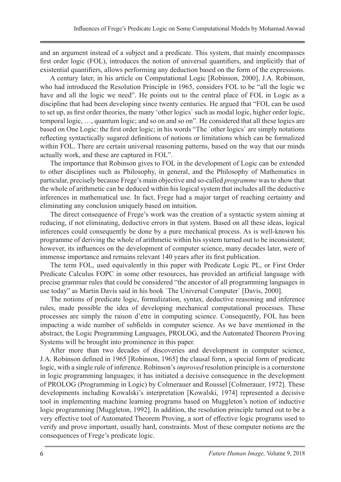and an argument instead of a subject and a predicate. This system, that mainly encompasses first order logic (FOL), introduces the notion of universal quantifiers, and implicitly that of existential quantifiers, allows performing any deduction based on the form of the expressions.

A century later, in his article on Computational Logic [Robinson, 2000], J.A. Robinson, who had introduced the Resolution Principle in 1965, considers FOL to be "all the logic we have and all the logic we need". He points out to the central place of FOL in Logic as a discipline that had been developing since twenty centuries. He argued that "FOL can be used to set up, as first order theories, the many 'other logics` such as modal logic, higher order logic, temporal logic, …, quantum logic; and so on and so on". He considered that all these logics are based on One Logic: the first order logic; in his words "The `other logics` are simply notations reflecting syntactically sugared definitions of notions or limitations which can be formalized within FOL. There are certain universal reasoning patterns, based on the way that our minds actually work, and these are captured in FOL".

The importance that Robinson gives to FOL in the development of Logic can be extended to other disciplines such as Philosophy, in general, and the Philosophy of Mathematics in particular, precisely because Frege's main objective and so-called *programme* was to show that the whole of arithmetic can be deduced within his logical system that includes all the deductive inferences in mathematical use. In fact, Frege had a major target of reaching certainty and eliminating any conclusion uniquely based on intuition.

The direct consequence of Frege's work was the creation of a syntactic system aiming at reducing, if not eliminating, deductive errors in that system. Based on all these ideas, logical inferences could consequently be done by a pure mechanical process. As is well-known his programme of deriving the whole of arithmetic within his system turned out to be inconsistent; however, its influences on the development of computer science, many decades later, were of immense importance and remains relevant 140 years after its first publication.

The term FOL, used equivalently in this paper with Predicate Logic PL, or First Order Predicate Calculus FOPC in some other resources, has provided an artificial language with precise grammar rules that could be considered "the ancestor of all programming languages in use today" as Martin Davis said in his book `The Universal Computer` [Davis, 2000].

The notions of predicate logic, formalization, syntax, deductive reasoning and inference rules, made possible the idea of developing mechanical computational processes. These processes are simply the raison d'etre in computing science. Consequently, FOL has been impacting a wide number of subfields in computer science. As we have mentioned in the abstract, the Logic Programming Languages, PROLOG, and the Automated Theorem Proving Systems will be brought into prominence in this paper.

After more than two decades of discoveries and development in computer science, J.A. Robinson defined in 1965 [Robinson, 1965] the clausal form, a special form of predicate logic, with a single rule of inference. Robinson's *improved* resolution principle is a cornerstone in logic programming languages; it has initiated a decisive consequence in the development of PROLOG (Programming in Logic) by Colmerauer and Roussel [Colmerauer, 1972]. These developments including Kowalski's interpretation [Kowalski, 1974] represented a decisive tool in implementing machine learning programs based on Muggleton's notion of inductive logic programming [Muggleton, 1992]. In addition, the resolution principle turned out to be a very effective tool of Automated Theorem Proving, a sort of effective logic programs used to verify and prove important, usually hard, constraints. Most of these computer notions are the consequences of Frege's predicate logic.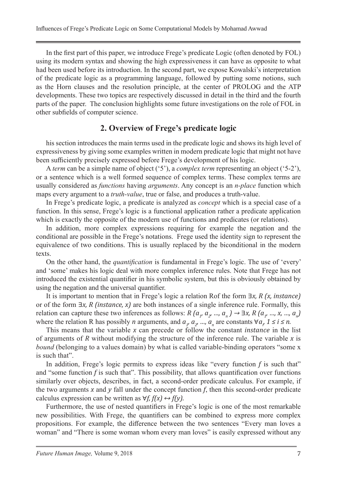In the first part of this paper, we introduce Frege's predicate Logic (often denoted by FOL) using its modern syntax and showing the high expressiveness it can have as opposite to what had been used before its introduction. In the second part, we expose Kowalski's interpretation of the predicate logic as a programming language, followed by putting some notions, such as the Horn clauses and the resolution principle, at the center of PROLOG and the ATP developments. These two topics are respectively discussed in detail in the third and the fourth parts of the paper. The conclusion highlights some future investigations on the role of FOL in other subfields of computer science.

### **2. Overview of Frege's predicate logic**

his section introduces the main terms used in the predicate logic and shows its high level of expressiveness by giving some examples written in modern predicate logic that might not have been sufficiently precisely expressed before Frege's development of his logic.

A *term* can be a simple name of object ('5'), a *complex term* representing an object ('5-2'), or a sentence which is a well formed sequence of complex terms. These complex terms are usually considered as *functions* having *arguments*. Any concept is an *n-place* function which maps every argument to a *truth-value*, true or false, and produces a truth-value.

In Frege's predicate logic, a predicate is analyzed as *concept* which is a special case of a function. In this sense, Frege's logic is a functional application rather a predicate application which is exactly the opposite of the modern use of functions and predicates (or relations).

In addition, more complex expressions requiring for example the negation and the conditional are possible in the Frege's notations. Frege used the identity sign to represent the equivalence of two conditions. This is usually replaced by the biconditional in the modern texts.

On the other hand, the *quantification* is fundamental in Frege's logic. The use of 'every' and 'some' makes his logic deal with more complex inference rules. Note that Frege has not introduced the existential quantifier in his symbolic system, but this is obviously obtained by using the negation and the universal quantifier.

It is important to mention that in Frege's logic a relation Rof the form ∃*x, R (x, instance)*  or of the form ∃*x, R (instance, x)* are both instances of a single inference rule. Formally, this relation can capture these two inferences as follows:  $R(a_1, a_2, ..., a_n) \to \exists x, R(a_1, ..., x, ..., a_n)$ where the relation R has possibly *n* arguments, and  $a_{\nu}$ ,  $a_{\nu}$ , ...,  $a_n$  are constants  $\forall a_{\nu}$ ,  $1 \le i \le n$ .

This means that the variable *x* can precede or follow the constant *instance* in the list of arguments of *R* without modifying the structure of the inference rule. The variable *x* is *bound* (belonging to a values domain) by what is called variable-binding operators "some x is such that".

In addition, Frege's logic permits to express ideas like "every function *f* is such that" and "some function *f* is such that". This possibility, that allows quantification over functions similarly over objects, describes, in fact, a second-order predicate calculus. For example, if the two arguments  $x$  and  $y$  fall under the concept function  $f$ , then this second-order predicate calculus expression can be written as  $\forall f, f(x) \leftrightarrow f(y)$ .

Furthermore, the use of nested quantifiers in Frege's logic is one of the most remarkable new possibilities. With Frege, the quantifiers can be combined to express more complex propositions. For example, the difference between the two sentences "Every man loves a woman" and "There is some woman whom every man loves" is easily expressed without any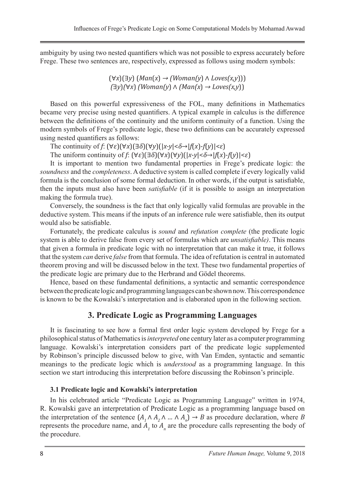ambiguity by using two nested quantifiers which was not possible to express accurately before Frege. These two sentences are, respectively, expressed as follows using modern symbols:

> (∀*x*)(∃*y*) (*Man*(*x*) *→ (Woman(y*) ∧ *Loves(x,y*))) *(*∃*y*)*(*∀*x*) *(Woman(y*) ∧ *(Man(x*) *→ Loves(x,y*))

Based on this powerful expressiveness of the FOL, many definitions in Mathematics became very precise using nested quantifiers. A typical example in calculus is the difference between the definitions of the continuity and the uniform continuity of a function. Using the modern symbols of Frege's predicate logic, these two definitions can be accurately expressed using nested quantifiers as follows:

The continuity of  $f: (\forall \varepsilon)(\forall x)(\exists \delta)(\forall y)(|x-y|<\delta \rightarrow |f(x)-f(y)|<\varepsilon)$ 

The uniform continuity of  $f: (\forall \varepsilon)(\exists \delta)(\forall x)(\forall y)(|x-y|<\delta \rightarrow |f(x)-f(y)|<\varepsilon)$ 

It is important to mention two fundamental properties in Frege's predicate logic: the *soundness* and the *completeness*. A deductive system is called complete if every logically valid formula is the conclusion of some formal deduction. In other words, if the output is satisfiable, then the inputs must also have been *satisfiable* (if it is possible to assign an interpretation making the formula true).

Conversely, the soundness is the fact that only logically valid formulas are provable in the deductive system. This means if the inputs of an inference rule were satisfiable, then its output would also be satisfiable.

Fortunately, the predicate calculus is *sound* and *refutation complete* (the predicate logic system is able to derive false from every set of formulas which are *unsatisfiable)*. This means that given a formula in predicate logic with no interpretation that can make it true, it follows that the system *can* derive *false* from that formula. The idea of refutation is central in automated theorem proving and will be discussed below in the text. These two fundamental properties of the predicate logic are primary due to the Herbrand and Gödel theorems.

Hence, based on these fundamental definitions, a syntactic and semantic correspondence between the predicate logic and programming languages can be shown now. This correspondence is known to be the Kowalski's interpretation and is elaborated upon in the following section.

### **3. Predicate Logic as Programming Languages**

It is fascinating to see how a formal first order logic system developed by Frege for a philosophical status of Mathematics is *interpreted* one century later as a computer programming language. Kowalski's interpretation considers part of the predicate logic supplemented by Robinson's principle discussed below to give, with Van Emden, syntactic and semantic meanings to the predicate logic which is *understood* as a programming language. In this section we start introducing this interpretation before discussing the Robinson's principle.

#### **3.1 Predicate logic and Kowalski's interpretation**

In his celebrated article "Predicate Logic as Programming Language" written in 1974, R. Kowalski gave an interpretation of Predicate Logic as a programming language based on the interpretation of the sentence  $(A_1 \wedge A_2 \wedge ... \wedge A_n) \rightarrow B$  as procedure declaration, where *B* represents the procedure name, and  $A_1$  to  $A_n$  are the procedure calls representing the body of the procedure.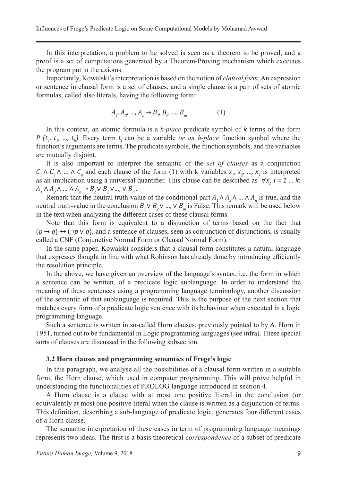In this interpretation, a problem to be solved is seen as a theorem to be proved, and a proof is a set of computations generated by a Theorem-Proving mechanism which executes the program put in the axioms.

Importantly, Kowalski's interpretation is based on the notion of *clausal form*. An expression or sentence in clausal form is a set of clauses, and a single clause is a pair of sets of atomic formulas, called also literals, having the following form:

$$
A_{1}, A_{2}, ..., A_{n} \rightarrow B_{1}, B_{2}, ..., B_{m}
$$
 (1)

In this context, an atomic formula is a *k-place* predicate symbol of *k* terms of the form *P*  $(t_1, t_2, \ldots, t_k)$ . Every term  $t_i$  can be a variable *or an h-place* function symbol where the function's arguments are terms. The predicate symbols, the function symbols, and the variables are mutually disjoint.

It is also important to interpret the semantic of the *set of clauses* as a conjunction  $C_1 \wedge C_2 \wedge ... \wedge C_n$  and each clause of the form (1) with k variables  $x_1, x_2, ..., x_k$  is interpreted as an implication using a universal quantifier. This clause can be described as  $\forall x, i = 1...k$ :  $A_1 \wedge A_2 \wedge ... \wedge A_n \rightarrow B_1 \vee B_2 \vee ... \vee B_m$ .

Remark that the neutral truth-value of the conditional part  $A_1 \wedge A_2 \wedge ... \wedge A_n$  is true, and the neutral truth-value in the conclusion  $B_1 \vee B_2 \vee ... \vee B_m$  is False. This remark will be used below in the text when analyzing the different cases of these clausal forms.

Note that this form is equivalent to a disjunction of terms based on the fact that  $(p \rightarrow q) \leftrightarrow (\neg p \vee q)$ , and a sentence of clauses, seen as conjunction of disjunctions, is usually called a CNF (Conjunctive Normal Form or Clausal Normal Form).

In the same paper, Kowalski considers that a clausal form constitutes a natural language that expresses thought in line with what Robinson has already done by introducing efficiently the resolution principle.

In the above, we have given an overview of the language's syntax, i.e. the form in which a sentence can be written, of a predicate logic sublanguage. In order to understand the meaning of these sentences using a programming language terminology, another discussion of the semantic of that sublanguage is required. This is the purpose of the next section that matches every form of a predicate logic sentence with its behaviour when executed in a logic programming language.

Such a sentence is written in so-called Horn clauses, previously pointed to by A. Horn in 1951, turned out to be fundamental in Logic programming languages (see infra). These special sorts of clauses are discussed in the following subsection.

#### **3.2 Horn clauses and programming semantics of Frege's logic**

In this paragraph, we analyse all the possibilities of a clausal form written in a suitable form, the Horn clause, which used in computer programming. This will prove helpful in understanding the functionalities of PROLOG language introduced in section 4.

A Horn clause is a clause with at most one positive literal in the conclusion (or equivalently at most one positive literal when the clause is written as a disjunction of terms. This definition, describing a sub-language of predicate logic, generates four different cases of a Horn clause.

The semantic interpretation of these cases in term of programming language meanings represents two ideas. The first is a basis theoretical *correspondence* of a subset of predicate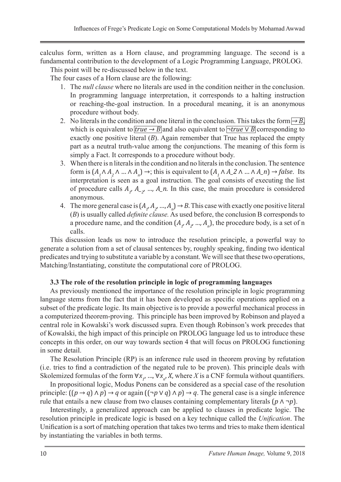calculus form, written as a Horn clause, and programming language. The second is a fundamental contribution to the development of a Logic Programming Language, PROLOG.

This point will be re-discussed below in the text.

The four cases of a Horn clause are the following:

- 1. The *null clause* where no literals are used in the condition neither in the conclusion. In programming language interpretation, it corresponds to a halting instruction or reaching-the-goal instruction. In a procedural meaning, it is an anonymous procedure without body.
- 2. No literals in the condition and one literal in the conclusion. This takes the form  $\rightarrow$  *B*, which is equivalent to  $\overline{true \rightarrow B}$  and also equivalent to  $\neg true \vee B$  corresponding to exactly one positive literal (*B*). Again remember that True has replaced the empty part as a neutral truth-value among the conjunctions. The meaning of this form is simply a Fact. It corresponds to a procedure without body.
- 3. When there is n literals in the condition and no literals in the conclusion. The sentence form is  $(A_1 \wedge A_2 \wedge ... \wedge A_n) \rightarrow$ ; this is equivalent to  $(A_1 \wedge A_2 \wedge ... \wedge A_n) \rightarrow false$ . Its interpretation is seen as a goal instruction. The goal consists of executing the list of procedure calls  $A_1$ ,  $A_2$ , ...,  $A_n$ . In this case, the main procedure is considered anonymous.
- 4. The more general case is  $(A_i, A_{i'}..., A_n) \to B$ . This case with exactly one positive literal (*B*) is usually called *definite clause.* As used before, the conclusion B corresponds to a procedure name, and the condition  $(A_1, A_2, ..., A_n)$ , the procedure body, is a set of n calls.

This discussion leads us now to introduce the resolution principle, a powerful way to generate a solution from a set of clausal sentences by, roughly speaking, finding two identical predicates and trying to substitute a variable by a constant. We will see that these two operations, Matching/Instantiating, constitute the computational core of PROLOG.

#### **3.3 The role of the resolution principle in logic of programming languages**

As previously mentioned the importance of the resolution principle in logic programming language stems from the fact that it has been developed as specific operations applied on a subset of the predicate logic. Its main objective is to provide a powerful mechanical process in a computerized theorem-proving. This principle has been improved by Robinson and played a central role in Kowalski's work discussed supra. Even though Robinson's work precedes that of Kowalski, the high impact of this principle on PROLOG language led us to introduce these concepts in this order, on our way towards section 4 that will focus on PROLOG functioning in some detail.

The Resolution Principle (RP) is an inference rule used in theorem proving by refutation (i.e. tries to find a contradiction of the negated rule to be proven). This principle deals with Skolemized formulas of the form  $\forall x_1, ..., \forall x_n, X$ , where *X* is a CNF formula without quantifiers.

In propositional logic, Modus Ponens can be considered as a special case of the resolution principle:  $((p \rightarrow q) \land p) \rightarrow q$  or again  $((\neg p \lor q) \land p) \rightarrow q$ . The general case is a single inference rule that entails a new clause from two clauses containing complementary literals  $(p \land \neg p)$ .

Interestingly, a generalized approach can be applied to clauses in predicate logic. The resolution principle in predicate logic is based on a key technique called the *Unification*. The Unification is a sort of matching operation that takes two terms and tries to make them identical by instantiating the variables in both terms.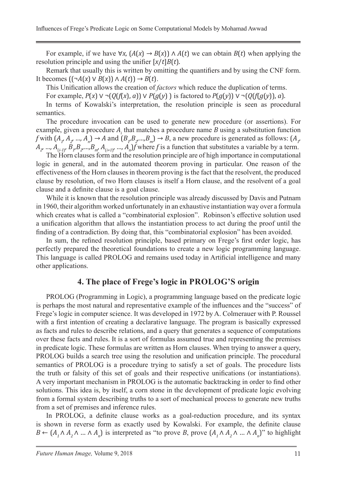For example, if we have  $\forall x$ ,  $(A(x) \rightarrow B(x)) \land A(t)$  we can obtain  $B(t)$  when applying the resolution principle and using the unifier [*x*/*t*]*B*(*t*).

Remark that usually this is written by omitting the quantifiers and by using the CNF form. It becomes  $((\neg A(x) \lor B(x)) \land A(t)) \rightarrow B(t)$ .

This Unification allows the creation of *factors* which reduce the duplication of terms.

For example, *P*(*x*) ∨ ¬(*Q*(*f*(*x*), *a*)) ∨ *P*(*g*(*y*) ) is factored to *P*(*g*(*y*)) ∨ ¬(*Q*(*f*(*g*(*y*)), *a*).

In terms of Kowalski's interpretation, the resolution principle is seen as procedural semantics.

The procedure invocation can be used to generate new procedure (or assertions). For example, given a procedure *Ai* that matches a procedure name *B* using a substitution function *f* with  $(A_1, A_2, ..., A_n) \to A$  and  $(B_1, B_2, ..., B_m) \to B$ , a new procedure is generated as follows:  $(A_1, A_2, ..., A_m) \to A$  $A_2, ..., A_{(i\cdot 1)}$ ,  $B_{1}B_{2}...B_{m}$ ,  $A_{(i\cdot 1)}$ , ...,  $A_n$  *f* where *f* is a function that substitutes a variable by a term.

The Horn clauses form and the resolution principle are of high importance in computational logic in general, and in the automated theorem proving in particular. One reason of the effectiveness of the Horn clauses in theorem proving is the fact that the resolvent, the produced clause by resolution, of two Horn clauses is itself a Horn clause, and the resolvent of a goal clause and a definite clause is a goal clause.

While it is known that the resolution principle was already discussed by Davis and Putnam in 1960, their algorithm worked unfortunately in an exhaustive instantiation way over a formula which creates what is called a "combinatorial explosion". Robinson's effective solution used a unification algorithm that allows the instantiation process to act during the proof until the finding of a contradiction. By doing that, this "combinatorial explosion" has been avoided.

In sum, the refined resolution principle, based primary on Frege's first order logic, has perfectly prepared the theoretical foundations to create a new logic programming language. This language is called PROLOG and remains used today in Artificial intelligence and many other applications.

### **4. The place of Frege's logic in PROLOG'S origin**

PROLOG (Programming in Logic), a programming language based on the predicate logic is perhaps the most natural and representative example of the influences and the "success" of Frege's logic in computer science. It was developed in 1972 by A. Colmerauer with P. Roussel with a first intention of creating a declarative language. The program is basically expressed as facts and rules to describe relations, and a query that generates a sequence of computations over these facts and rules. It is a sort of formulas assumed true and representing the premises in predicate logic. These formulas are written as Horn clauses. When trying to answer a query, PROLOG builds a search tree using the resolution and unification principle. The procedural semantics of PROLOG is a procedure trying to satisfy a set of goals. The procedure lists the truth or falsity of this set of goals and their respective unifications (or instantiations). A very important mechanism in PROLOG is the automatic backtracking in order to find other solutions. This idea is, by itself, a corn stone in the development of predicate logic evolving from a formal system describing truths to a sort of mechanical process to generate new truths from a set of premises and inference rules.

In PROLOG, a definite clause works as a goal-reduction procedure, and its syntax is shown in reverse form as exactly used by Kowalski. For example, the definite clause *B* ←  $(A_1 \land A_2 \land ... \land A_n)$  is interpreted as "to prove *B*, prove  $(A_1 \land A_2 \land ... \land A_n)$ " to highlight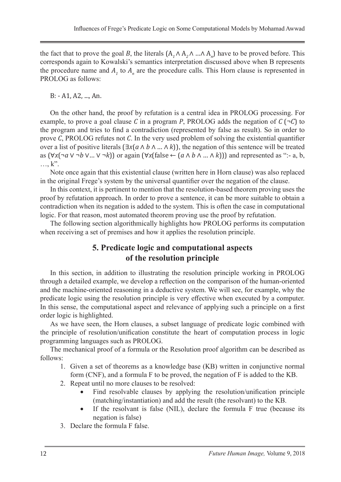the fact that to prove the goal *B*, the literals  $(A_1 \land A_2 \land ... \land A_n)$  have to be proved before. This corresponds again to Kowalski's semantics interpretation discussed above when B represents the procedure name and  $A_t$  to  $A_n$  are the procedure calls. This Horn clause is represented in PROLOG as follows:

B: - A1, A2, ..., An.

On the other hand, the proof by refutation is a central idea in PROLOG processing. For example, to prove a goal clause *C* in a program *P*, PROLOG adds the negation of  $C(\neg C)$  to the program and tries to find a contradiction (represented by false as result). So in order to prove *C*, PROLOG refutes not *C*. In the very used problem of solving the existential quantifier over a list of positive literals (∃*x*(*a* ∧ *b* ∧ … ∧ *k*)), the negation of this sentence will be treated as  $(\forall x(\neg a \lor \neg b \lor ... \lor \neg k))$  or again  $(\forall x(\text{false} \leftarrow (a \land b \land ... \land k)))$  and represented as ":- a, b, …, k".

Note once again that this existential clause (written here in Horn clause) was also replaced in the original Frege's system by the universal quantifier over the negation of the clause.

In this context, it is pertinent to mention that the resolution-based theorem proving uses the proof by refutation approach. In order to prove a sentence, it can be more suitable to obtain a contradiction when its negation is added to the system. This is often the case in computational logic. For that reason, most automated theorem proving use the proof by refutation.

The following section algorithmically highlights how PROLOG performs its computation when receiving a set of premises and how it applies the resolution principle.

## **5. Predicate logic and computational aspects of the resolution principle**

In this section, in addition to illustrating the resolution principle working in PROLOG through a detailed example, we develop a reflection on the comparison of the human-oriented and the machine-oriented reasoning in a deductive system. We will see, for example, why the predicate logic using the resolution principle is very effective when executed by a computer. In this sense, the computational aspect and relevance of applying such a principle on a first order logic is highlighted.

As we have seen, the Horn clauses, a subset language of predicate logic combined with the principle of resolution/unification constitute the heart of computation process in logic programming languages such as PROLOG.

The mechanical proof of a formula or the Resolution proof algorithm can be described as follows:

- 1. Given a set of theorems as a knowledge base (KB) written in conjunctive normal form (CNF), and a formula F to be proved, the negation of F is added to the KB.
- 2. Repeat until no more clauses to be resolved:
	- Find resolvable clauses by applying the resolution/unification principle (matching/instantiation) and add the result (the resolvant) to the KB.
	- If the resolvant is false (NIL), declare the formula  $F$  true (because its negation is false)
- 3. Declare the formula F false.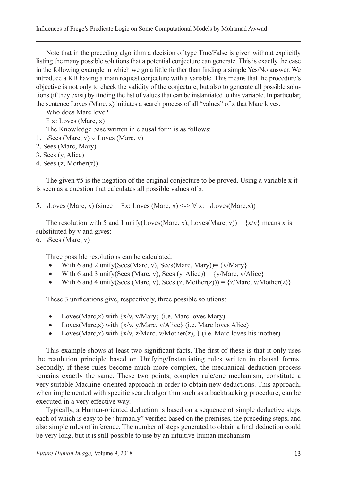Influences of Frege's Predicate Logic on Some Computational Models by Mohamad Awwad

Note that in the preceding algorithm a decision of type True/False is given without explicitly listing the many possible solutions that a potential conjecture can generate. This is exactly the case in the following example in which we go a little further than finding a simple Yes/No answer. We introduce a KB having a main request conjecture with a variable. This means that the procedure's objective is not only to check the validity of the conjecture, but also to generate all possible solutions (if they exist) by finding the list of values that can be instantiated to this variable. In particular, the sentence Loves (Marc, x) initiates a search process of all "values" of x that Marc loves.

Who does Marc love?

- ∃ x: Loves (Marc, x)
- The Knowledge base written in clausal form is as follows:
- 1.  $\neg$ Sees (Marc, v)  $∨$  Loves (Marc, v)
- 2. Sees (Marc, Mary)
- 3. Sees (y, Alice)
- 4. Sees (z, Mother(z))

The given #5 is the negation of the original conjecture to be proved. Using a variable x it is seen as a question that calculates all possible values of x.

5. ¬Loves (Marc, x) (since  $\neg \exists x: Loves (Marc, x) \iff x: \neg Loves (Marc, x))$ 

The resolution with 5 and 1 unify(Loves(Marc, x), Loves(Marc, v)) =  $\{x/v\}$  means x is substituted by v and gives:

 $6. -Sees$  (Marc, v)

Three possible resolutions can be calculated:

- With 6 and 2 unify(Sees(Marc, v), Sees(Marc, Mary)) =  $\{v/Mary\}$
- With 6 and 3 unify(Sees (Marc, v), Sees (y, Alice)) =  $\{y/Marc, v/Alice\}$
- With 6 and 4 unify(Sees (Marc, v), Sees  $(z, \text{Mother}(z)) = \{z/\text{Marc}, v/\text{Mother}(z)\}\$

These 3 unifications give, respectively, three possible solutions:

- Loves(Marc,x) with  $\{x/v, v/Mary\}$  (i.e. Marc loves Mary)
- Loves(Marc,x) with  $\{x/v, y/Marc, v/Alice\}$  (i.e. Marc loves Alice)
- Loves(Marc,x) with  $\{x/v, z/Marc, v/Mother(z), \}$  (i.e. Marc loves his mother)

This example shows at least two significant facts. The first of these is that it only uses the resolution principle based on Unifying/Instantiating rules written in clausal forms. Secondly, if these rules become much more complex, the mechanical deduction process remains exactly the same. These two points, complex rule/one mechanism, constitute a very suitable Machine-oriented approach in order to obtain new deductions. This approach, when implemented with specific search algorithm such as a backtracking procedure, can be executed in a very effective way.

Typically, a Human-oriented deduction is based on a sequence of simple deductive steps each of which is easy to be "humanly" verified based on the premises, the preceding steps, and also simple rules of inference. The number of steps generated to obtain a final deduction could be very long, but it is still possible to use by an intuitive-human mechanism.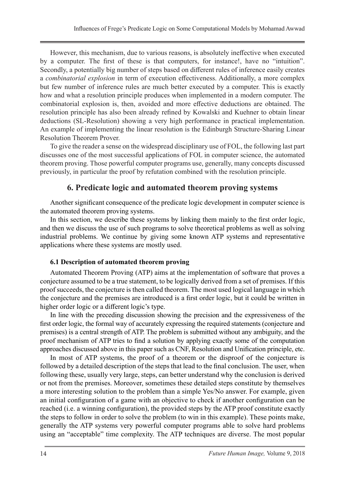However, this mechanism, due to various reasons, is absolutely ineffective when executed by a computer. The first of these is that computers, for instance!, have no "intuition". Secondly, a potentially big number of steps based on different rules of inference easily creates a *combinatorial explosion* in term of execution effectiveness. Additionally, a more complex but few number of inference rules are much better executed by a computer. This is exactly how and what a resolution principle produces when implemented in a modern computer. The combinatorial explosion is, then, avoided and more effective deductions are obtained. The resolution principle has also been already refined by Kowalski and Kuehner to obtain linear deductions (SL-Resolution) showing a very high performance in practical implementation. An example of implementing the linear resolution is the Edinburgh Structure-Sharing Linear Resolution Theorem Prover.

To give the reader a sense on the widespread disciplinary use of FOL, the following last part discusses one of the most successful applications of FOL in computer science, the automated theorem proving. Those powerful computer programs use, generally, many concepts discussed previously, in particular the proof by refutation combined with the resolution principle.

### **6. Predicate logic and automated theorem proving systems**

Another significant consequence of the predicate logic development in computer science is the automated theorem proving systems.

In this section, we describe these systems by linking them mainly to the first order logic, and then we discuss the use of such programs to solve theoretical problems as well as solving industrial problems. We continue by giving some known ATP systems and representative applications where these systems are mostly used.

#### **6.1 Description of automated theorem proving**

Automated Theorem Proving (ATP) aims at the implementation of software that proves a conjecture assumed to be a true statement, to be logically derived from a set of premises. If this proof succeeds, the conjecture is then called theorem. The most used logical language in which the conjecture and the premises are introduced is a first order logic, but it could be written in higher order logic or a different logic's type.

In line with the preceding discussion showing the precision and the expressiveness of the first order logic, the formal way of accurately expressing the required statements (conjecture and premises) is a central strength of ATP. The problem is submitted without any ambiguity, and the proof mechanism of ATP tries to find a solution by applying exactly some of the computation approaches discussed above in this paper such as CNF, Resolution and Unification principle, etc.

In most of ATP systems, the proof of a theorem or the disproof of the conjecture is followed by a detailed description of the steps that lead to the final conclusion. The user, when following these, usually very large, steps, can better understand why the conclusion is derived or not from the premises. Moreover, sometimes these detailed steps constitute by themselves a more interesting solution to the problem than a simple Yes/No answer. For example, given an initial configuration of a game with an objective to check if another configuration can be reached (i.e. a winning configuration), the provided steps by the ATP proof constitute exactly the steps to follow in order to solve the problem (to win in this example). These points make, generally the ATP systems very powerful computer programs able to solve hard problems using an "acceptable" time complexity. The ATP techniques are diverse. The most popular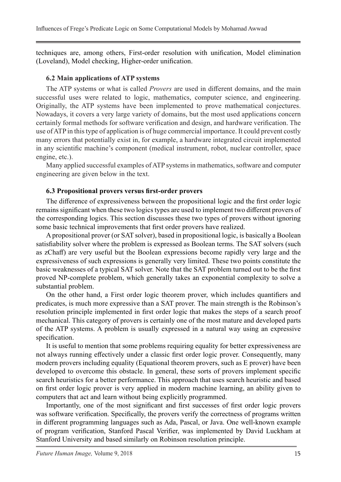techniques are, among others, First-order resolution with unification, Model elimination (Loveland), Model checking, Higher-order unification.

#### **6.2 Main applications of ATP systems**

The ATP systems or what is called *Provers* are used in different domains, and the main successful uses were related to logic, mathematics, computer science, and engineering. Originally, the ATP systems have been implemented to prove mathematical conjectures. Nowadays, it covers a very large variety of domains, but the most used applications concern certainly formal methods for software verification and design, and hardware verification. The use of ATP in this type of application is of huge commercial importance. It could prevent costly many errors that potentially exist in, for example, a hardware integrated circuit implemented in any scientific machine's component (medical instrument, robot, nuclear controller, space engine, etc.).

Many applied successful examples of ATP systems in mathematics, software and computer engineering are given below in the text.

#### **6.3 Propositional provers versus first-order provers**

The difference of expressiveness between the propositional logic and the first order logic remains significant when these two logics types are used to implement two different provers of the corresponding logics. This section discusses these two types of provers without ignoring some basic technical improvements that first order provers have realized.

A propositional prover (or SAT solver), based in propositional logic, is basically a Boolean satisfiability solver where the problem is expressed as Boolean terms. The SAT solvers (such as zChaff) are very useful but the Boolean expressions become rapidly very large and the expressiveness of such expressions is generally very limited. These two points constitute the basic weaknesses of a typical SAT solver. Note that the SAT problem turned out to be the first proved NP-complete problem, which generally takes an exponential complexity to solve a substantial problem.

On the other hand, a First order logic theorem prover, which includes quantifiers and predicates, is much more expressive than a SAT prover. The main strength is the Robinson's resolution principle implemented in first order logic that makes the steps of a search proof mechanical. This category of provers is certainly one of the most mature and developed parts of the ATP systems. A problem is usually expressed in a natural way using an expressive specification.

It is useful to mention that some problems requiring equality for better expressiveness are not always running effectively under a classic first order logic prover. Consequently, many modern provers including equality (Equational theorem provers, such as E prover) have been developed to overcome this obstacle. In general, these sorts of provers implement specific search heuristics for a better performance. This approach that uses search heuristic and based on first order logic prover is very applied in modern machine learning, an ability given to computers that act and learn without being explicitly programmed.

Importantly, one of the most significant and first successes of first order logic provers was software verification. Specifically, the provers verify the correctness of programs written in different programming languages such as Ada, Pascal, or Java. One well-known example of program verification, Stanford Pascal Verifier, was implemented by David Luckham at Stanford University and based similarly on Robinson resolution principle.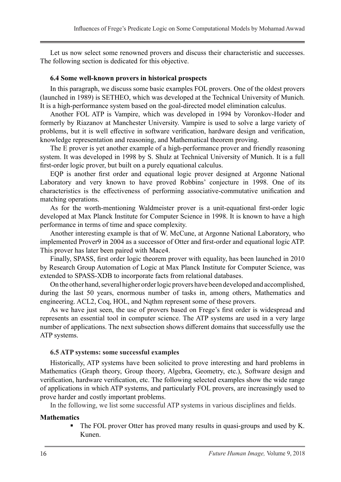Let us now select some renowned provers and discuss their characteristic and successes. The following section is dedicated for this objective.

#### **6.4 Some well-known provers in historical prospects**

In this paragraph, we discuss some basic examples FOL provers. One of the oldest provers (launched in 1989) is SETHEO, which was developed at the Technical University of Munich. It is a high-performance system based on the goal-directed model elimination calculus.

Another FOL ATP is Vampire, which was developed in 1994 by Voronkov-Hoder and formerly by Riazanov at Manchester University. Vampire is used to solve a large variety of problems, but it is well effective in software verification, hardware design and verification, knowledge representation and reasoning, and Mathematical theorem proving.

The E prover is yet another example of a high-performance prover and friendly reasoning system. It was developed in 1998 by S. Shulz at Technical University of Munich. It is a full first-order logic prover, but built on a purely equational calculus.

EQP is another first order and equational logic prover designed at Argonne National Laboratory and very known to have proved Robbins' conjecture in 1998. One of its characteristics is the effectiveness of performing associative-commutative unification and matching operations.

As for the worth-mentioning Waldmeister prover is a unit-equational first-order logic developed at Max Planck Institute for Computer Science in 1998. It is known to have a high performance in terms of time and space complexity.

Another interesting example is that of W. McCune, at Argonne National Laboratory, who implemented Prover9 in 2004 as a successor of Otter and first-order and equational logic ATP. This prover has later been paired with Mace4.

Finally, SPASS, first order logic theorem prover with equality, has been launched in 2010 by Research Group Automation of Logic at Max Planck Institute for Computer Science, was extended to SPASS-XDB to incorporate facts from relational databases.

On the other hand, several higher order logic provers have been developed and accomplished, during the last 50 years, enormous number of tasks in, among others, Mathematics and engineering. ACL2, Coq, HOL, and Nqthm represent some of these provers.

As we have just seen, the use of provers based on Frege's first order is widespread and represents an essential tool in computer science. The ATP systems are used in a very large number of applications. The next subsection shows different domains that successfully use the ATP systems.

#### **6.5 ATP systems: some successful examples**

Historically, ATP systems have been solicited to prove interesting and hard problems in Mathematics (Graph theory, Group theory, Algebra, Geometry, etc.), Software design and verification, hardware verification, etc. The following selected examples show the wide range of applications in which ATP systems, and particularly FOL provers, are increasingly used to prove harder and costly important problems.

In the following, we list some successful ATP systems in various disciplines and fields.

#### **Mathematics**

 The FOL prover Otter has proved many results in quasi-groups and used by K. Kunen.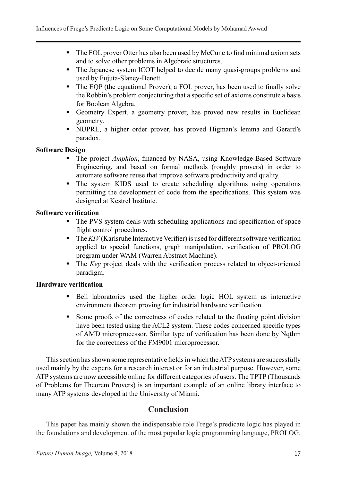- The FOL prover Otter has also been used by McCune to find minimal axiom sets and to solve other problems in Algebraic structures.
- The Japanese system ICOT helped to decide many quasi-groups problems and used by Fujuta-Slaney-Benett.
- The EQP (the equational Prover), a FOL prover, has been used to finally solve the Robbin's problem conjecturing that a specific set of axioms constitute a basis for Boolean Algebra.
- Geometry Expert, a geometry prover, has proved new results in Euclidean geometry.
- NUPRL, a higher order prover, has proved Higman's lemma and Gerard's paradox.

#### **Software Design**

- The project *Amphion*, financed by NASA, using Knowledge-Based Software Engineering, and based on formal methods (roughly provers) in order to automate software reuse that improve software productivity and quality.
- The system KIDS used to create scheduling algorithms using operations permitting the development of code from the specifications. This system was designed at Kestrel Institute.

#### **Software verification**

- The PVS system deals with scheduling applications and specification of space flight control procedures.
- The *KIV* (Karlsruhe Interactive Verifier) is used for different software verification applied to special functions, graph manipulation, verification of PROLOG program under WAM (Warren Abstract Machine).
- The *Key* project deals with the verification process related to object-oriented paradigm.

### **Hardware verification**

- Bell laboratories used the higher order logic HOL system as interactive environment theorem proving for industrial hardware verification.
- Some proofs of the correctness of codes related to the floating point division have been tested using the ACL2 system. These codes concerned specific types of AMD microprocessor. Similar type of verification has been done by Nqthm for the correctness of the FM9001 microprocessor.

This section has shown some representative fields in which the ATP systems are successfully used mainly by the experts for a research interest or for an industrial purpose. However, some ATP systems are now accessible online for different categories of users. The TPTP (Thousands of Problems for Theorem Provers) is an important example of an online library interface to many ATP systems developed at the University of Miami.

### **Conclusion**

This paper has mainly shown the indispensable role Frege's predicate logic has played in the foundations and development of the most popular logic programming language, PROLOG.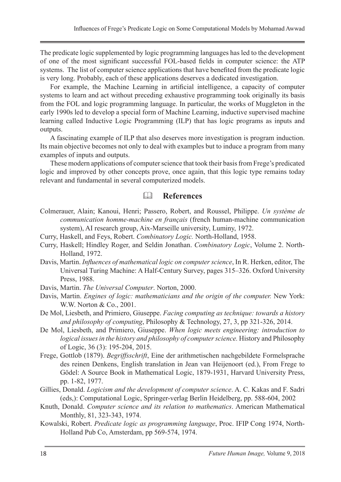The predicate logic supplemented by logic programming languages has led to the development of one of the most significant successful FOL-based fields in computer science: the ATP systems. The list of computer science applications that have benefited from the predicate logic is very long. Probably, each of these applications deserves a dedicated investigation.

For example, the Machine Learning in artificial intelligence, a capacity of computer systems to learn and act without preceding exhaustive programming took originally its basis from the FOL and logic programming language. In particular, the works of Muggleton in the early 1990s led to develop a special form of Machine Learning, inductive supervised machine learning called Inductive Logic Programming (ILP) that has logic programs as inputs and outputs.

A fascinating example of ILP that also deserves more investigation is program induction. Its main objective becomes not only to deal with examples but to induce a program from many examples of inputs and outputs.

These modern applications of computer science that took their basis from Frege's predicated logic and improved by other concepts prove, once again, that this logic type remains today relevant and fundamental in several computerized models.

### **References**

- Colmerauer, Alain; Kanoui, Henri; Passero, Robert, and Roussel, Philippe. *Un système de communication homme-machine en français* (french human-machine communication system), AI research group, Aix-Marseille university, Luminy, 1972.
- Curry, Haskell, and Feys, Robert. *Combinatory Logic.* North-Holland, 1958.
- Curry, Haskell; Hindley Roger, and Seldin Jonathan. *Combinatory Logic*, Volume 2. North-Holland, 1972.
- Davis, Martin. *Influences of mathematical logic on computer science*, In R. Herken, editor, The Universal Turing Machine: A Half-Century Survey, pages 315–326. Oxford University Press, 1988.
- Davis, Martin. *The Universal Computer*. Norton, 2000.
- Davis, Martin. *Engines of logic: mathematicians and the origin of the computer.* New York: W.W. Norton & Co., 2001.
- De Mol, Liesbeth, and Primiero, Giuseppe. *Facing computing as technique: towards a history and philosophy of computing*, Philosophy & Technology, 27, 3, pp 321-326, 2014.
- De Mol, Liesbeth, and Primiero, Giuseppe. *When logic meets engineering: introduction to logical issues in the history and philosophy of computer science.* History and Philosophy of Logic, 36 (3): 195-204, 2015.
- Frege, Gottlob (1879). *Begriffsschrift*, Eine der arithmetischen nachgebildete Formelsprache des reinen Denkens, English translation in Jean van Heijenoort (ed.), From Frege to Gödel: A Source Book in Mathematical Logic, 1879-1931, Harvard University Press, pp. 1-82, 1977.
- Gillies, Donald. *Logicism and the development of computer science*. A. C. Kakas and F. Sadri (eds,): Computational Logic, Springer-verlag Berlin Heidelberg, pp. 588-604, 2002
- Knuth, Donald. *Computer science and its relation to mathematics*. American Mathematical Monthly, 81, 323-343, 1974.
- Kowalski, Robert. *Predicate logic as programming language*, Proc. IFIP Cong 1974, North-Holland Pub Co, Amsterdam, pp 569-574, 1974.